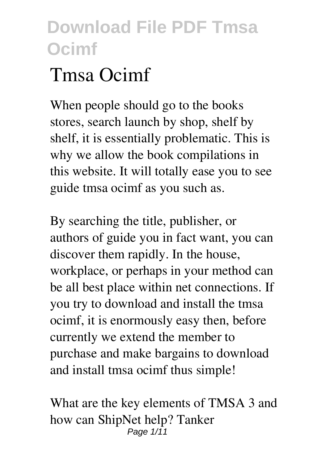# **Tmsa Ocimf**

When people should go to the books stores, search launch by shop, shelf by shelf, it is essentially problematic. This is why we allow the book compilations in this website. It will totally ease you to see guide **tmsa ocimf** as you such as.

By searching the title, publisher, or authors of guide you in fact want, you can discover them rapidly. In the house, workplace, or perhaps in your method can be all best place within net connections. If you try to download and install the tmsa ocimf, it is enormously easy then, before currently we extend the member to purchase and make bargains to download and install tmsa ocimf thus simple!

*What are the key elements of TMSA 3 and how can ShipNet help? Tanker* Page 1/11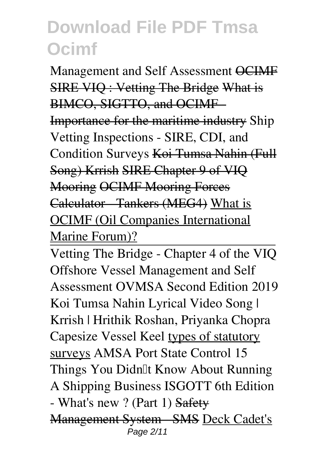*Management and Self Assessment* OCIMF SIRE VIQ : Vetting The Bridge What is BIMCO, SIGTTO, and OCIME Importance for the maritime industry Ship Vetting Inspections - SIRE, CDI, and Condition Surveys Koi Tumsa Nahin (Full Song) Krrish SIRE Chapter 9 of VIQ Mooring OCIMF Mooring Forces Calculator Tankers (MEG4) What is OCIMF (Oil Companies International Marine Forum)?

Vetting The Bridge - Chapter 4 of the VIQ **Offshore Vessel Management and Self Assessment OVMSA Second Edition 2019** *Koi Tumsa Nahin Lyrical Video Song | Krrish | Hrithik Roshan, Priyanka Chopra* **Capesize Vessel Keel** types of statutory surveys *AMSA Port State Control* **15 Things You Didn't Know About Running A Shipping Business** *ISGOTT 6th Edition - What's new ? (Part 1)* Safety Management System - SMS Deck Cadet's Page 2/11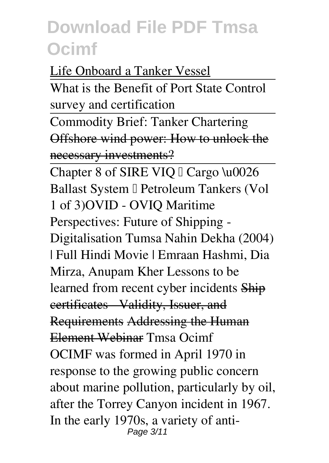Life Onboard a Tanker Vessel

What is the Benefit of Port State Control survey and certification

Commodity Brief: Tanker Chartering Offshore wind power: How to unlock the necessary investments?

Chapter 8 of SIRE VIQ <sup>[]</sup> Cargo \u0026 Ballast System I Petroleum Tankers (Vol 1 of 3)**OVID - OVIQ** *Maritime Perspectives: Future of Shipping - Digitalisation* **Tumsa Nahin Dekha (2004) | Full Hindi Movie | Emraan Hashmi, Dia Mirza, Anupam Kher** Lessons to be learned from recent cyber incidents Ship certificates Validity, Issuer, and Requirements Addressing the Human Element Webinar *Tmsa Ocimf* OCIMF was formed in April 1970 in response to the growing public concern about marine pollution, particularly by oil, after the Torrey Canyon incident in 1967. In the early 1970s, a variety of anti-Page 3/11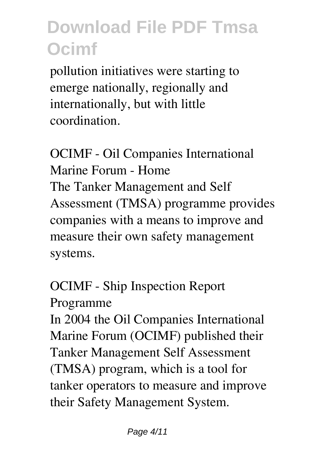pollution initiatives were starting to emerge nationally, regionally and internationally, but with little coordination.

*OCIMF - Oil Companies International Marine Forum - Home* The Tanker Management and Self Assessment (TMSA) programme provides companies with a means to improve and measure their own safety management systems.

*OCIMF - Ship Inspection Report Programme*

In 2004 the Oil Companies International Marine Forum (OCIMF) published their Tanker Management Self Assessment (TMSA) program, which is a tool for tanker operators to measure and improve their Safety Management System.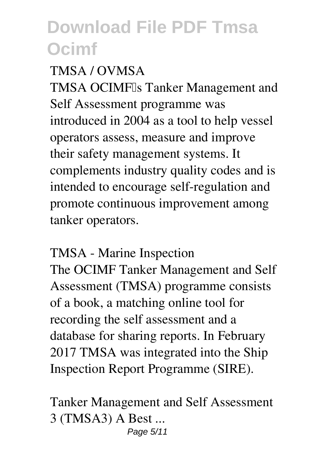#### *TMSA / OVMSA*

TMSA OCIMF<sup>I</sup>s Tanker Management and Self Assessment programme was introduced in 2004 as a tool to help vessel operators assess, measure and improve their safety management systems. It complements industry quality codes and is intended to encourage self-regulation and promote continuous improvement among tanker operators.

*TMSA - Marine Inspection* The OCIMF Tanker Management and Self Assessment (TMSA) programme consists of a book, a matching online tool for recording the self assessment and a database for sharing reports. In February 2017 TMSA was integrated into the Ship Inspection Report Programme (SIRE).

*Tanker Management and Self Assessment 3 (TMSA3) A Best ...* Page 5/11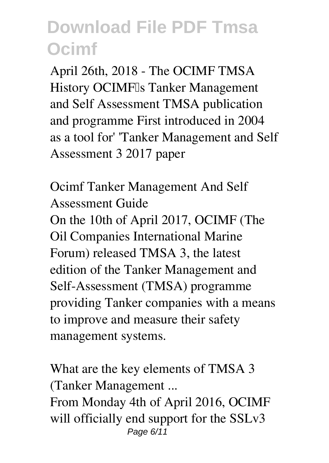April 26th, 2018 - The OCIMF TMSA History OCIMF<sup>I</sup>s Tanker Management and Self Assessment TMSA publication and programme First introduced in 2004 as a tool for' 'Tanker Management and Self Assessment 3 2017 paper

*Ocimf Tanker Management And Self Assessment Guide* On the 10th of April 2017, OCIMF (The Oil Companies International Marine Forum) released TMSA 3, the latest edition of the Tanker Management and Self-Assessment (TMSA) programme providing Tanker companies with a means to improve and measure their safety management systems.

*What are the key elements of TMSA 3 (Tanker Management ...* From Monday 4th of April 2016, OCIMF will officially end support for the SSLv3 Page 6/11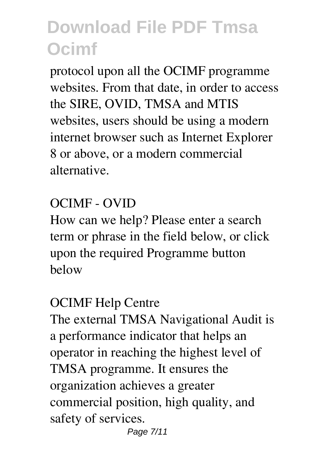protocol upon all the OCIMF programme websites. From that date, in order to access the SIRE, OVID, TMSA and MTIS websites, users should be using a modern internet browser such as Internet Explorer 8 or above, or a modern commercial alternative.

#### *OCIMF - OVID*

How can we help? Please enter a search term or phrase in the field below, or click upon the required Programme button below

#### *OCIMF Help Centre*

The external TMSA Navigational Audit is a performance indicator that helps an operator in reaching the highest level of TMSA programme. It ensures the organization achieves a greater commercial position, high quality, and safety of services.

Page 7/11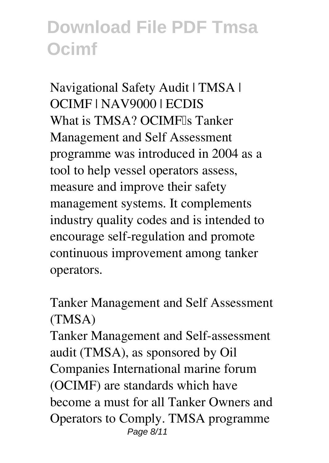*Navigational Safety Audit | TMSA | OCIMF | NAV9000 | ECDIS* What is TMSA? OCIMF<sub>Is</sub> Tanker Management and Self Assessment programme was introduced in 2004 as a tool to help vessel operators assess, measure and improve their safety management systems. It complements industry quality codes and is intended to encourage self-regulation and promote continuous improvement among tanker operators.

*Tanker Management and Self Assessment (TMSA)*

Tanker Management and Self-assessment audit (TMSA), as sponsored by Oil Companies International marine forum (OCIMF) are standards which have become a must for all Tanker Owners and Operators to Comply. TMSA programme Page 8/11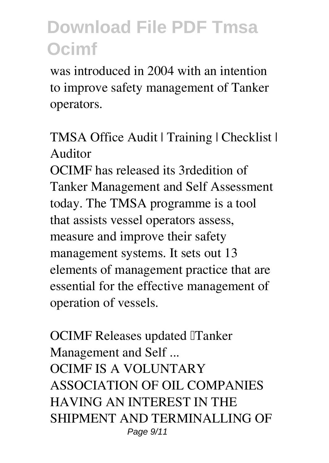was introduced in 2004 with an intention to improve safety management of Tanker operators.

*TMSA Office Audit | Training | Checklist | Auditor*

OCIMF has released its 3rdedition of Tanker Management and Self Assessment today. The TMSA programme is a tool that assists vessel operators assess, measure and improve their safety management systems. It sets out 13 elements of management practice that are essential for the effective management of operation of vessels.

*OCIMF Releases updated 'Tanker Management and Self ...* OCIMF IS A VOLUNTARY ASSOCIATION OF OIL COMPANIES HAVING AN INTEREST IN THE SHIPMENT AND TERMINALLING OF Page 9/11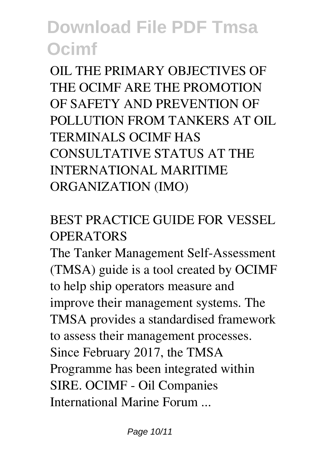OIL THE PRIMARY OBJECTIVES OF THE OCIMF ARE THE PROMOTION OF SAFETY AND PREVENTION OF POLLUTION FROM TANKERS AT OIL TERMINALS OCIMF HAS CONSULTATIVE STATUS AT THE INTERNATIONAL MARITIME ORGANIZATION (IMO)

### *BEST PRACTICE GUIDE FOR VESSEL OPERATORS*

The Tanker Management Self-Assessment (TMSA) guide is a tool created by OCIMF to help ship operators measure and improve their management systems. The TMSA provides a standardised framework to assess their management processes. Since February 2017, the TMSA Programme has been integrated within SIRE. OCIMF - Oil Companies International Marine Forum ...